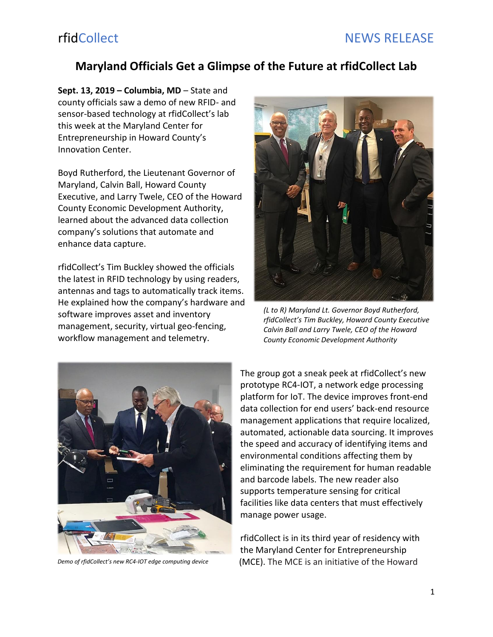## **Maryland Officials Get a Glimpse of the Future at rfidCollect Lab**

**Sept. 13, 2019 – Columbia, MD** – State and county officials saw a demo of new RFID- and sensor-based technology at rfidCollect's lab this week at the Maryland Center for Entrepreneurship in Howard County's Innovation Center.

Boyd Rutherford, the Lieutenant Governor of Maryland, Calvin Ball, Howard County Executive, and Larry Twele, CEO of the Howard County Economic Development Authority, learned about the advanced data collection company's solutions that automate and enhance data capture.

rfidCollect's Tim Buckley showed the officials the latest in RFID technology by using readers, antennas and tags to automatically track items. He explained how the company's hardware and software improves asset and inventory management, security, virtual geo-fencing, workflow management and telemetry.



*(L to R) Maryland Lt. Governor Boyd Rutherford, rfidCollect's Tim Buckley, Howard County Executive Calvin Ball and Larry Twele, CEO of the Howard County Economic Development Authority* 



*Demo of rfidCollect's new RC4-IOT edge computing device*

The group got a sneak peek at rfidCollect's new prototype RC4-IOT, a network edge processing platform for IoT. The device improves front-end data collection for end users' back-end resource management applications that require localized, automated, actionable data sourcing. It improves the speed and accuracy of identifying items and environmental conditions affecting them by eliminating the requirement for human readable and barcode labels. The new reader also supports temperature sensing for critical facilities like data centers that must effectively manage power usage.

rfidCollect is in its third year of residency with the Maryland Center for Entrepreneurship (MCE). The MCE is an initiative of the Howard